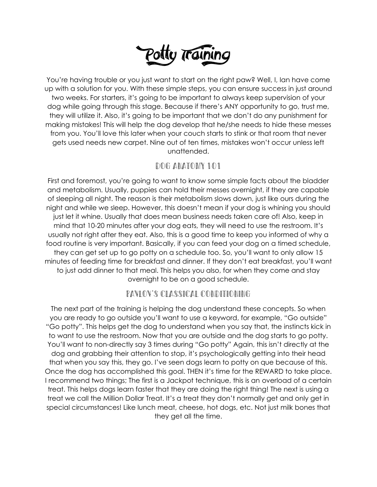

You're having trouble or you just want to start on the right paw? Well, I, Ian have come up with a solution for you. With these simple steps, you can ensure success in just around two weeks. For starters, it's going to be important to always keep supervision of your dog while going through this stage. Because if there's ANY opportunity to go, trust me, they will utilize it. Also, it's going to be important that we don't do any punishment for making mistakes! This will help the dog develop that he/she needs to hide these messes from you. You'll love this later when your couch starts to stink or that room that never gets used needs new carpet. Nine out of ten times, mistakes won't occur unless left unattended.

# DOG ANATOMY 101

First and foremost, you're going to want to know some simple facts about the bladder and metabolism. Usually, puppies can hold their messes overnight, if they are capable of sleeping all night. The reason is their metabolism slows down, just like ours during the night and while we sleep. However, this doesn't mean if your dog is whining you should just let it whine. Usually that does mean business needs taken care of! Also, keep in mind that 10-20 minutes after your dog eats, they will need to use the restroom. It's usually not right after they eat. Also, this is a good time to keep you informed of why a food routine is very important. Basically, if you can feed your dog on a timed schedule, they can get set up to go potty on a schedule too. So, you'll want to only allow 15 minutes of feeding time for breakfast and dinner. If they don't eat breakfast, you'll want to just add dinner to that meal. This helps you also, for when they come and stay overnight to be on a good schedule.

#### Pavlov's Classical Conditioning

The next part of the training is helping the dog understand these concepts. So when you are ready to go outside you'll want to use a keyword, for example, "Go outside" "Go potty". This helps get the dog to understand when you say that, the instincts kick in to want to use the restroom. Now that you are outside and the dog starts to go potty. You'll want to non-directly say 3 times during "Go potty" Again, this isn't directly at the dog and grabbing their attention to stop, it's psychologically getting into their head that when you say this, they go. I've seen dogs learn to potty on que because of this. Once the dog has accomplished this goal. THEN it's time for the REWARD to take place. I recommend two things; The first is a Jackpot technique, this is an overload of a certain treat. This helps dogs learn faster that they are doing the right thing! The next is using a treat we call the Million Dollar Treat. It's a treat they don't normally get and only get in special circumstances! Like lunch meat, cheese, hot dogs, etc. Not just milk bones that they get all the time.